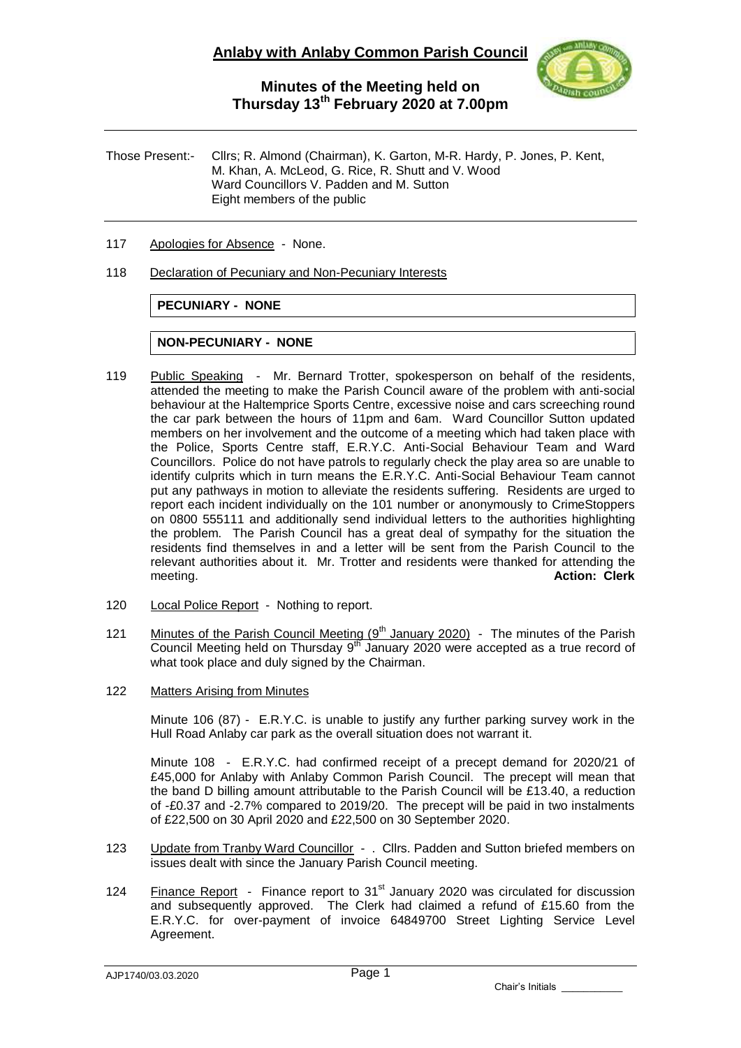

Those Present:- Cllrs; R. Almond (Chairman), K. Garton, M-R. Hardy, P. Jones, P. Kent, M. Khan, A. McLeod, G. Rice, R. Shutt and V. Wood Ward Councillors V. Padden and M. Sutton Eight members of the public

- 117 Apologies for Absence None.
- 118 Declaration of Pecuniary and Non-Pecuniary Interests

**PECUNIARY - NONE**

#### **NON-PECUNIARY - NONE**

- 119 Public Speaking Mr. Bernard Trotter, spokesperson on behalf of the residents, attended the meeting to make the Parish Council aware of the problem with anti-social behaviour at the Haltemprice Sports Centre, excessive noise and cars screeching round the car park between the hours of 11pm and 6am. Ward Councillor Sutton updated members on her involvement and the outcome of a meeting which had taken place with the Police, Sports Centre staff, E.R.Y.C. Anti-Social Behaviour Team and Ward Councillors. Police do not have patrols to regularly check the play area so are unable to identify culprits which in turn means the E.R.Y.C. Anti-Social Behaviour Team cannot put any pathways in motion to alleviate the residents suffering. Residents are urged to report each incident individually on the 101 number or anonymously to CrimeStoppers on 0800 555111 and additionally send individual letters to the authorities highlighting the problem. The Parish Council has a great deal of sympathy for the situation the residents find themselves in and a letter will be sent from the Parish Council to the relevant authorities about it. Mr. Trotter and residents were thanked for attending the meeting. **Action: Clerk**
- 120 Local Police Report Nothing to report.
- 121 Minutes of the Parish Council Meeting (9<sup>th</sup> January 2020) The minutes of the Parish Council Meeting held on Thursday  $9<sup>th</sup>$  January 2020 were accepted as a true record of what took place and duly signed by the Chairman.
- 122 Matters Arising from Minutes

Minute 106 (87) - E.R.Y.C. is unable to justify any further parking survey work in the Hull Road Anlaby car park as the overall situation does not warrant it.

Minute 108 - E.R.Y.C. had confirmed receipt of a precept demand for 2020/21 of £45,000 for Anlaby with Anlaby Common Parish Council. The precept will mean that the band D billing amount attributable to the Parish Council will be £13.40, a reduction of -£0.37 and -2.7% compared to 2019/20. The precept will be paid in two instalments of £22,500 on 30 April 2020 and £22,500 on 30 September 2020.

- 123 Update from Tranby Ward Councillor . Cllrs. Padden and Sutton briefed members on issues dealt with since the January Parish Council meeting.
- 124 Finance Report Finance report to 31<sup>st</sup> January 2020 was circulated for discussion and subsequently approved. The Clerk had claimed a refund of £15.60 from the E.R.Y.C. for over-payment of invoice 64849700 Street Lighting Service Level Agreement.

Chair's Initials \_\_\_\_\_\_\_\_\_\_\_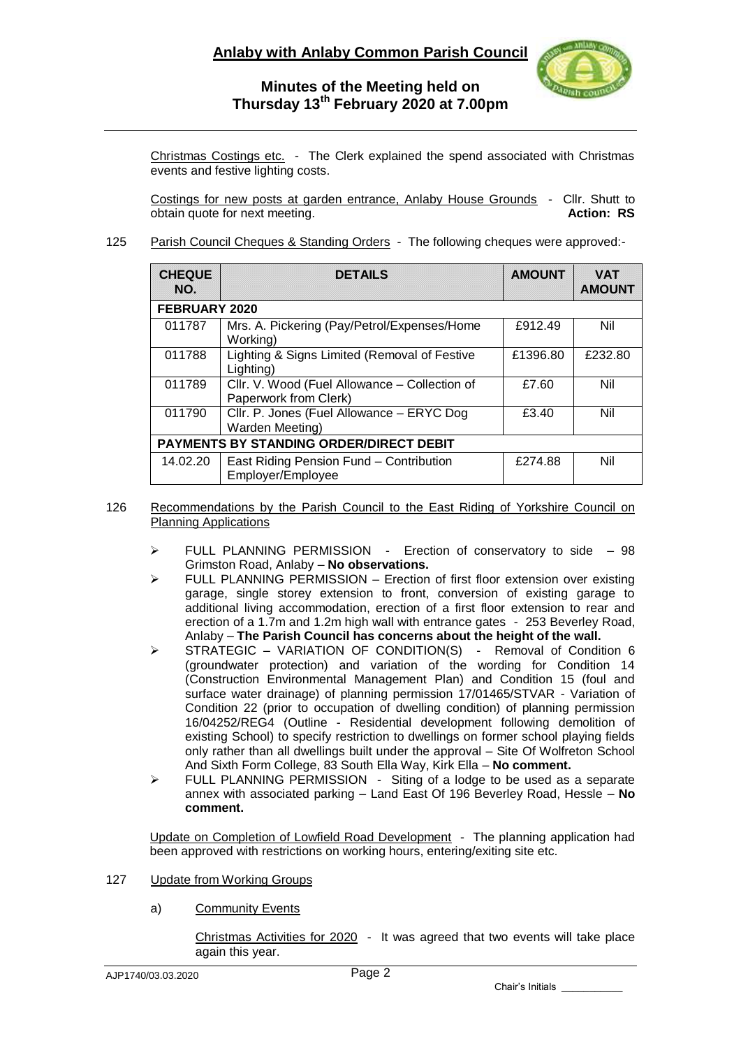

Christmas Costings etc. - The Clerk explained the spend associated with Christmas events and festive lighting costs.

Costings for new posts at garden entrance, Anlaby House Grounds - Cllr. Shutt to obtain quote for next meeting. **Action: RS**

### 125 Parish Council Cheques & Standing Orders - The following cheques were approved:-

| <b>CHEQUE</b><br>NO.                           | <b>DETAILS</b>                                                         | <b>AMOUNT</b> | <b>VAT</b><br><b>AMOUNT</b> |
|------------------------------------------------|------------------------------------------------------------------------|---------------|-----------------------------|
| <b>FEBRUARY 2020</b>                           |                                                                        |               |                             |
| 011787                                         | Mrs. A. Pickering (Pay/Petrol/Expenses/Home)<br>Working)               | £912.49       | Nil                         |
| 011788                                         | Lighting & Signs Limited (Removal of Festive<br>Lighting)              | £1396.80      | £232.80                     |
| 011789                                         | Cllr. V. Wood (Fuel Allowance - Collection of<br>Paperwork from Clerk) | £7.60         | Nil                         |
| 011790                                         | Cllr. P. Jones (Fuel Allowance - ERYC Dog<br>Warden Meeting)           | £3.40         | Nil                         |
| <b>PAYMENTS BY STANDING ORDER/DIRECT DEBIT</b> |                                                                        |               |                             |
| 14.02.20                                       | East Riding Pension Fund - Contribution<br>Employer/Employee           | £274.88       | Nil                         |

- 126 Recommendations by the Parish Council to the East Riding of Yorkshire Council on Planning Applications
	- FULL PLANNING PERMISSION Erection of conservatory to side 98 Grimston Road, Anlaby – **No observations.**
	- $\triangleright$  FULL PLANNING PERMISSION Erection of first floor extension over existing garage, single storey extension to front, conversion of existing garage to additional living accommodation, erection of a first floor extension to rear and erection of a 1.7m and 1.2m high wall with entrance gates - 253 Beverley Road, Anlaby – **The Parish Council has concerns about the height of the wall.**
	- $\triangleright$  STRATEGIC VARIATION OF CONDITION(S) Removal of Condition 6 (groundwater protection) and variation of the wording for Condition 14 (Construction Environmental Management Plan) and Condition 15 (foul and surface water drainage) of planning permission 17/01465/STVAR - Variation of Condition 22 (prior to occupation of dwelling condition) of planning permission 16/04252/REG4 (Outline - Residential development following demolition of existing School) to specify restriction to dwellings on former school playing fields only rather than all dwellings built under the approval – Site Of Wolfreton School And Sixth Form College, 83 South Ella Way, Kirk Ella – **No comment.**
	- $\triangleright$  FULL PLANNING PERMISSION Siting of a lodge to be used as a separate annex with associated parking – Land East Of 196 Beverley Road, Hessle – **No comment.**

Update on Completion of Lowfield Road Development - The planning application had been approved with restrictions on working hours, entering/exiting site etc.

#### 127 Update from Working Groups

a) Community Events

Christmas Activities for 2020 - It was agreed that two events will take place again this year.

Chair's Initials \_\_\_\_\_\_\_\_\_\_\_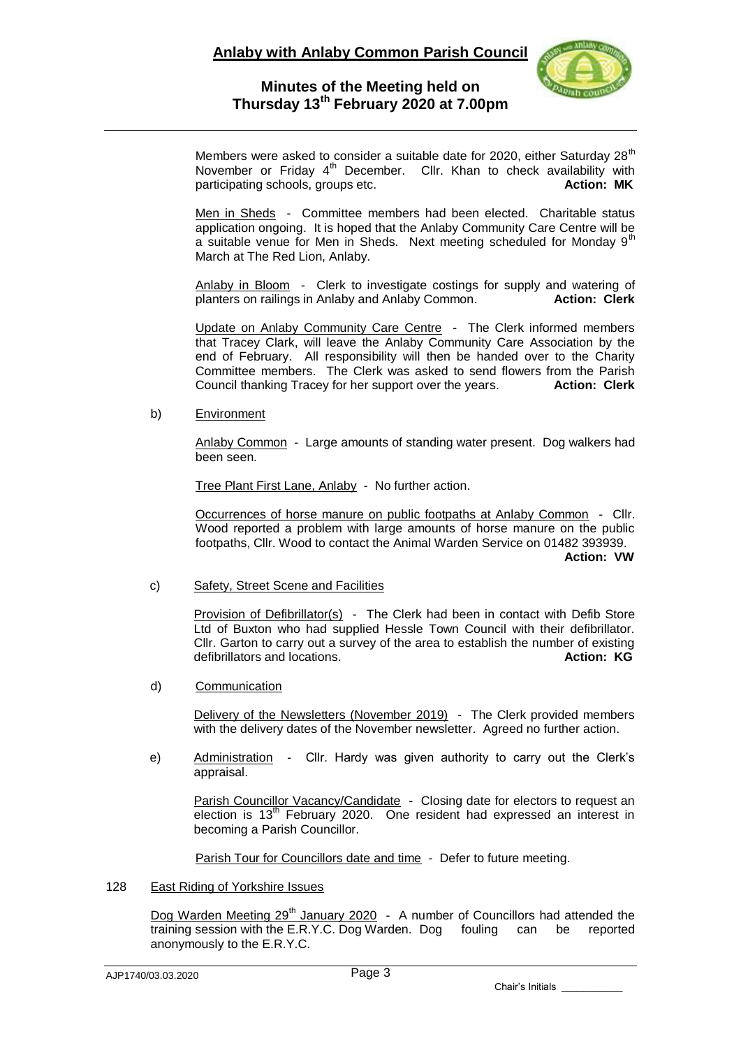

Members were asked to consider a suitable date for 2020, either Saturday  $28<sup>th</sup>$ November or Friday  $4<sup>th</sup>$  December. Cllr. Khan to check availability with participating schools, groups etc. **Action: MK Action: MK** 

Men in Sheds - Committee members had been elected. Charitable status application ongoing. It is hoped that the Anlaby Community Care Centre will be a suitable venue for Men in Sheds. Next meeting scheduled for Monday 9<sup>th</sup> March at The Red Lion, Anlaby.

Anlaby in Bloom - Clerk to investigate costings for supply and watering of planters on railings in Anlaby and Anlaby Common. **Action: Clerk**

Update on Anlaby Community Care Centre - The Clerk informed members that Tracey Clark, will leave the Anlaby Community Care Association by the end of February. All responsibility will then be handed over to the Charity Committee members. The Clerk was asked to send flowers from the Parish Council thanking Tracey for her support over the years. **Action: Clerk**

b) Environment

Anlaby Common - Large amounts of standing water present. Dog walkers had been seen.

Tree Plant First Lane, Anlaby - No further action.

Occurrences of horse manure on public footpaths at Anlaby Common - Cllr. Wood reported a problem with large amounts of horse manure on the public footpaths, Cllr. Wood to contact the Animal Warden Service on 01482 393939. **Action: VW**

c) Safety, Street Scene and Facilities

Provision of Defibrillator(s) - The Clerk had been in contact with Defib Store Ltd of Buxton who had supplied Hessle Town Council with their defibrillator. Cllr. Garton to carry out a survey of the area to establish the number of existing defibrillators and locations. **Action: KG**

d) Communication

Delivery of the Newsletters (November 2019) - The Clerk provided members with the delivery dates of the November newsletter. Agreed no further action.

e) Administration - Cllr. Hardy was given authority to carry out the Clerk's appraisal.

Parish Councillor Vacancy/Candidate - Closing date for electors to request an election is  $13<sup>th</sup>$  February 2020. One resident had expressed an interest in becoming a Parish Councillor.

Parish Tour for Councillors date and time - Defer to future meeting.

128 East Riding of Yorkshire Issues

Dog Warden Meeting  $29<sup>th</sup>$  January 2020 - A number of Councillors had attended the training session with the E.R.Y.C. Dog Warden. Dog fouling can be reported anonymously to the E.R.Y.C.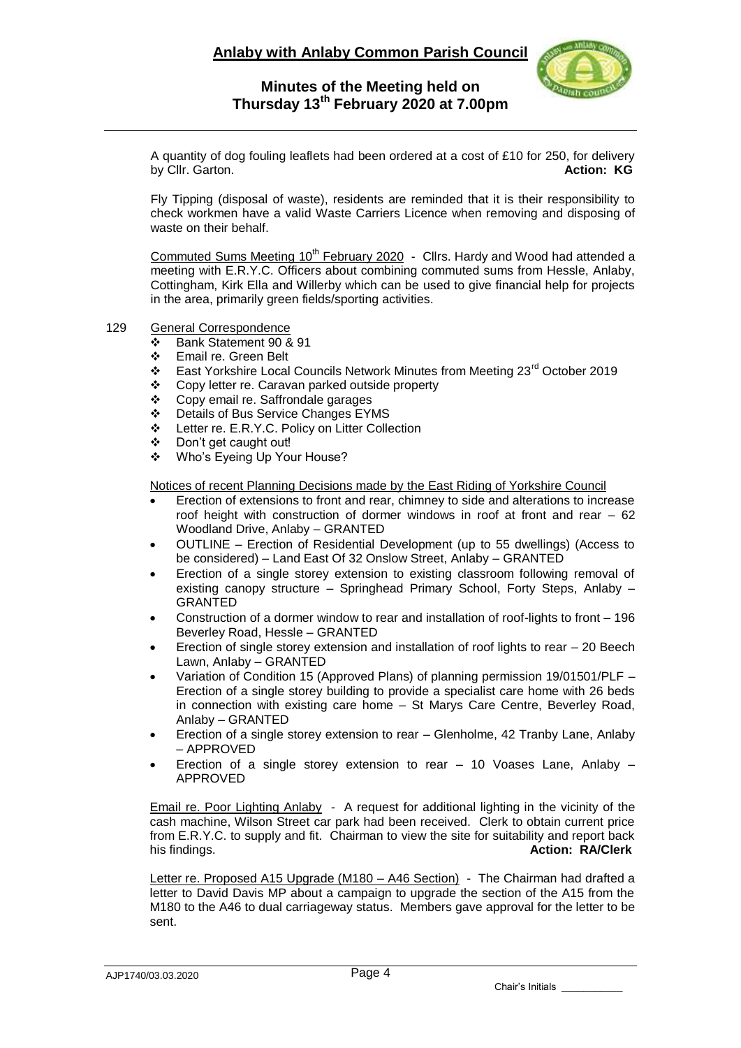

A quantity of dog fouling leaflets had been ordered at a cost of £10 for 250, for delivery by Cllr. Garton. **Action: KG**

Fly Tipping (disposal of waste), residents are reminded that it is their responsibility to check workmen have a valid Waste Carriers Licence when removing and disposing of waste on their behalf.

Commuted Sums Meeting  $10^{th}$  February 2020 - Cllrs. Hardy and Wood had attended a meeting with E.R.Y.C. Officers about combining commuted sums from Hessle, Anlaby, Cottingham, Kirk Ella and Willerby which can be used to give financial help for projects in the area, primarily green fields/sporting activities.

- 129 General Correspondence
	- Bank Statement 90 & 91
	- Email re. Green Belt
	- East Yorkshire Local Councils Network Minutes from Meeting 23rd October 2019
	- Copy letter re. Caravan parked outside property
	- Copy email re. Saffrondale garages
	- ❖ Details of Bus Service Changes EYMS<br>❖ Letter re. E.R.Y.C. Policy on Litter Colle
	- Letter re. E.R.Y.C. Policy on Litter Collection
	- ❖ Don't get caught out!<br>❖ Who's Eveing Un You
	- Who's Eyeing Up Your House?

Notices of recent Planning Decisions made by the East Riding of Yorkshire Council

- Erection of extensions to front and rear, chimney to side and alterations to increase roof height with construction of dormer windows in roof at front and rear – 62 Woodland Drive, Anlaby – GRANTED
- OUTLINE Erection of Residential Development (up to 55 dwellings) (Access to be considered) – Land East Of 32 Onslow Street, Anlaby – GRANTED
- Erection of a single storey extension to existing classroom following removal of existing canopy structure – Springhead Primary School, Forty Steps, Anlaby – GRANTED
- Construction of a dormer window to rear and installation of roof-lights to front 196 Beverley Road, Hessle – GRANTED
- Erection of single storey extension and installation of roof lights to rear 20 Beech Lawn, Anlaby – GRANTED
- Variation of Condition 15 (Approved Plans) of planning permission 19/01501/PLF Erection of a single storey building to provide a specialist care home with 26 beds in connection with existing care home – St Marys Care Centre, Beverley Road, Anlaby – GRANTED
- Erection of a single storey extension to rear Glenholme, 42 Tranby Lane, Anlaby – APPROVED
- Erection of a single storey extension to rear 10 Voases Lane, Anlaby APPROVED

Email re. Poor Lighting Anlaby - A request for additional lighting in the vicinity of the cash machine, Wilson Street car park had been received. Clerk to obtain current price from E.R.Y.C. to supply and fit. Chairman to view the site for suitability and report back his findings. **Action: RA/Clerk**

Letter re. Proposed A15 Upgrade (M180 – A46 Section) - The Chairman had drafted a letter to David Davis MP about a campaign to upgrade the section of the A15 from the M180 to the A46 to dual carriageway status. Members gave approval for the letter to be sent.

Chair's Initials \_